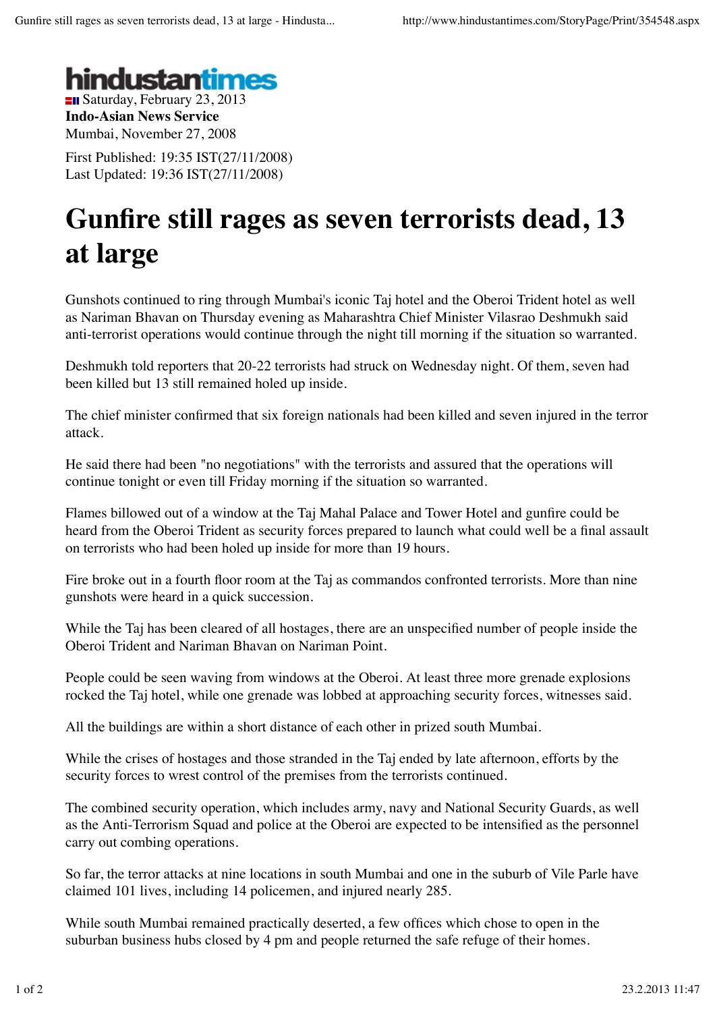

**Indo-Asian News Service** Mumbai, November 27, 2008

First Published: 19:35 IST(27/11/2008) Last Updated: 19:36 IST(27/11/2008)

## **Gunfire still rages as seven terrorists dead, 13 at large**

Gunshots continued to ring through Mumbai's iconic Taj hotel and the Oberoi Trident hotel as well as Nariman Bhavan on Thursday evening as Maharashtra Chief Minister Vilasrao Deshmukh said anti-terrorist operations would continue through the night till morning if the situation so warranted.

Deshmukh told reporters that 20-22 terrorists had struck on Wednesday night. Of them, seven had been killed but 13 still remained holed up inside.

The chief minister confirmed that six foreign nationals had been killed and seven injured in the terror attack.

He said there had been "no negotiations" with the terrorists and assured that the operations will continue tonight or even till Friday morning if the situation so warranted.

Flames billowed out of a window at the Taj Mahal Palace and Tower Hotel and gunfire could be heard from the Oberoi Trident as security forces prepared to launch what could well be a final assault on terrorists who had been holed up inside for more than 19 hours.

Fire broke out in a fourth floor room at the Taj as commandos confronted terrorists. More than nine gunshots were heard in a quick succession.

While the Taj has been cleared of all hostages, there are an unspecified number of people inside the Oberoi Trident and Nariman Bhavan on Nariman Point.

People could be seen waving from windows at the Oberoi. At least three more grenade explosions rocked the Taj hotel, while one grenade was lobbed at approaching security forces, witnesses said.

All the buildings are within a short distance of each other in prized south Mumbai.

While the crises of hostages and those stranded in the Taj ended by late afternoon, efforts by the security forces to wrest control of the premises from the terrorists continued.

The combined security operation, which includes army, navy and National Security Guards, as well as the Anti-Terrorism Squad and police at the Oberoi are expected to be intensified as the personnel carry out combing operations.

So far, the terror attacks at nine locations in south Mumbai and one in the suburb of Vile Parle have claimed 101 lives, including 14 policemen, and injured nearly 285.

While south Mumbai remained practically deserted, a few offices which chose to open in the suburban business hubs closed by 4 pm and people returned the safe refuge of their homes.